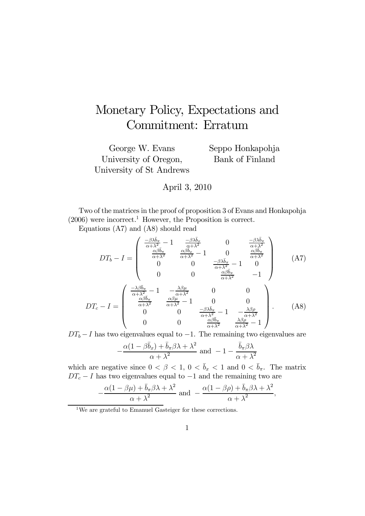## Monetary Policy, Expectations and Commitment: Erratum

George W. Evans University of Oregon, University of St Andrews

Seppo Honkapohja Bank of Finland

## April 3, 2010

Two of the matrices in the proof of proposition 3 of Evans and Honkapohja  $(2006)$  were incorrect.<sup>1</sup> However, the Proposition is correct.

Equations (A7) and (A8) should read

$$
DT_b - I = \begin{pmatrix} \frac{-\beta \lambda \bar{b}_\pi}{\alpha + \lambda^2} - 1 & \frac{-\beta \lambda \bar{b}_x}{\alpha + \lambda^2} & 0 & \frac{-\beta \lambda \bar{b}_\pi}{\alpha + \lambda^2} \\ \frac{\alpha \beta \bar{b}_\pi}{\alpha + \lambda^2} & \frac{\alpha \beta \bar{b}_x}{\alpha + \lambda^2} - 1 & 0 & \frac{\alpha \beta \bar{b}_\pi}{\alpha + \lambda^2} \\ 0 & 0 & \frac{-\beta \lambda \bar{b}_\pi}{\alpha + \lambda^2} - 1 & 0 \\ 0 & 0 & \frac{\alpha \beta \bar{b}_\pi}{\alpha + \lambda^2} & -1 \end{pmatrix} \quad (A7)
$$

$$
DT_c - I = \begin{pmatrix} \frac{-\lambda \beta \bar{b}_\pi}{\alpha + \lambda^2} - 1 & -\frac{\lambda \beta \mu}{\alpha + \lambda^2} & 0 & 0 \\ \frac{\alpha \beta \bar{b}_\pi}{\alpha + \lambda^2} & \frac{\alpha \beta \mu}{\alpha + \lambda^2} - 1 & 0 & 0 \\ 0 & 0 & \frac{-\beta \lambda \bar{b}_\pi}{\alpha + \lambda^2} - 1 & -\frac{\lambda \beta \rho}{\alpha + \lambda^2} \\ 0 & 0 & \frac{\alpha \beta \bar{b}_\pi}{\alpha + \lambda^2} & \frac{\lambda \beta \rho}{\alpha + \lambda^2} - 1 \end{pmatrix} . \quad (A8)
$$

 $DT_b - I$  has two eigenvalues equal to  $-1$ . The remaining two eigenvalues are

$$
-\frac{\alpha(1-\beta\bar{b}_x)+\bar{b}_\pi\beta\lambda+\lambda^2}{\alpha+\lambda^2}
$$
 and 
$$
-1-\frac{\bar{b}_\pi\beta\lambda}{\alpha+\lambda^2}
$$

which are negative since  $0 < \beta < 1$ ,  $0 < \bar{b}_x < 1$  and  $0 < \bar{b}_\pi$ . The matrix  $DT_c - I$  has two eigenvalues equal to  $-1$  and the remaining two are

$$
-\frac{\alpha(1-\beta\mu)+\bar{b}_{\pi}\beta\lambda+\lambda^2}{\alpha+\lambda^2}
$$
 and 
$$
-\frac{\alpha(1-\beta\rho)+\bar{b}_{\pi}\beta\lambda+\lambda^2}{\alpha+\lambda^2},
$$

1We are grateful to Emanuel Gasteiger for these corrections.